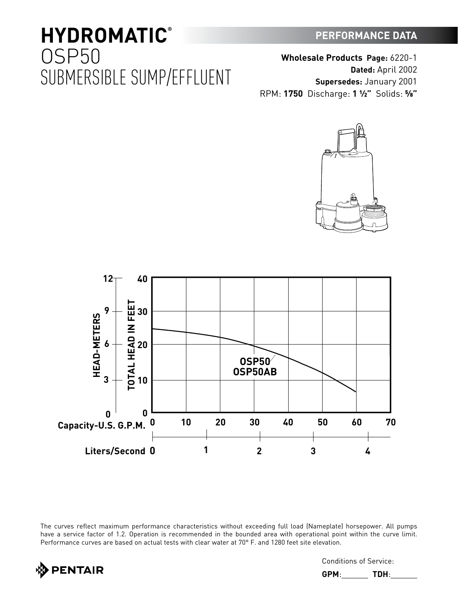## **HYDROMATIC®** OSP50 SUBMERSIBLE SUMP/EFFLUENT

**Wholesale Products Page:** 6220-1 **Dated:** April 2002 **Supersedes:** January 2001 RPM: **1750** Discharge: **1 ½"** Solids: **⅝"**





The curves reflect maximum performance characteristics without exceeding full load (Nameplate) horsepower. All pumps have a service factor of 1.2. Operation is recommended in the bounded area with operational point within the curve limit. Performance curves are based on actual tests with clear water at 70° F. and 1280 feet site elevation.



Conditions of Service:

**GPM**:\_\_\_\_\_\_ **TDH**:\_\_\_\_\_\_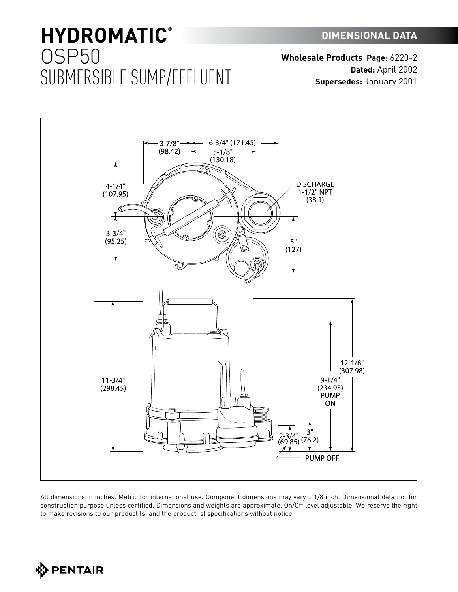# **HYDROMATIC®** OSP50 SUBMERSIBLE SUMP/EFFLUENT

**Wholesale Products Page:** 6220-2 **Dated:** April 2002 **Supersedes:** January 2001



All dimensions in inches. Metric for international use. Component dimensions may vary ± 1/8 inch. Dimensional data not for construction purpose unless certified. Dimensions and weights are approximate. On/Off level adjustable. We reserve the right to make revisions to our product (s) and the product (s) specifications without notice.

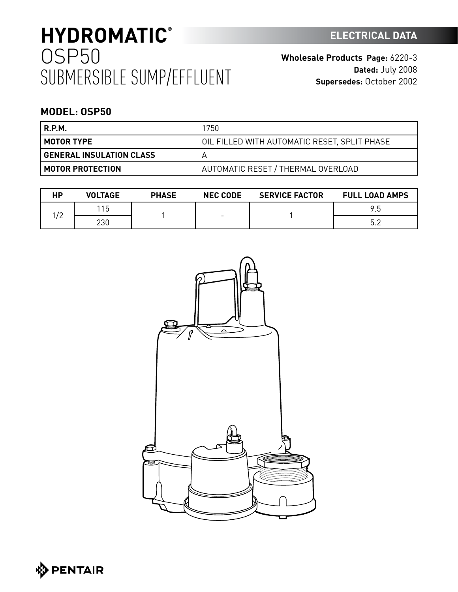# **HYDROMATIC ELECTRICAL DATA ®** OSP50 SUBMERSIBLE SUMP/EFFLUENT

**Wholesale Products Page:** 6220-3 **Dated:** July 2008 **Supersedes:** October 2002

### **MODEL: OSP50**

| R.P.M.                          | 1750                                         |
|---------------------------------|----------------------------------------------|
| MOTOR TYPE                      | OIL FILLED WITH AUTOMATIC RESET, SPLIT PHASE |
| <b>GENERAL INSULATION CLASS</b> | д                                            |
| MOTOR PROTECTION                | AUTOMATIC RESET / THERMAL OVERLOAD           |

| НP                     | <b>VOLTAGE</b> | <b>PHASE</b> | <b>NEC CODE</b>          | <b>SERVICE FACTOR</b> | <b>FULL LOAD AMPS</b> |
|------------------------|----------------|--------------|--------------------------|-----------------------|-----------------------|
| $\sqrt{2}$<br><u>_</u> | 15             |              | $\overline{\phantom{0}}$ |                       | ㅇ ᄃ<br>ں. ا           |
|                        | 230            |              |                          |                       | БΩ<br>J.Z             |



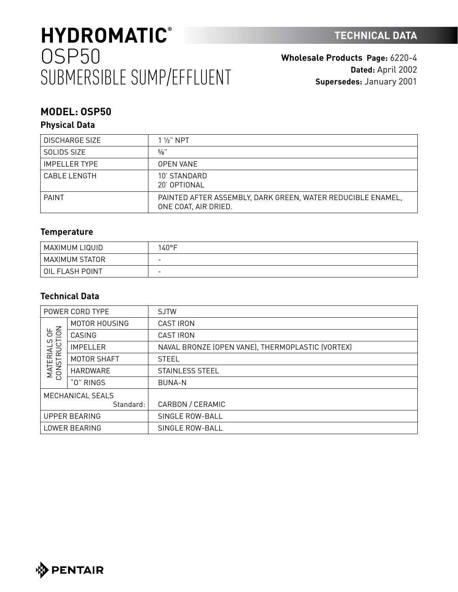# **HYDROMATIC TECHNICAL DATA ®** OSP50 SUBMERSIBLE SUMP/EFFLUENT

**Wholesale Products Page:** 6220-4 **Dated:** April 2002 **Supersedes:** January 2001

## **MODEL: OSP50**

### **Physical Data**

| <b>DISCHARGE SIZE</b> | $1\frac{1}{2}$ " NPT                                                                |
|-----------------------|-------------------------------------------------------------------------------------|
| SOLIDS SIZE           | $^{5}/_{8}$ "                                                                       |
| <b>IMPELLER TYPE</b>  | <b>OPEN VANE</b>                                                                    |
| CABLE LENGTH          | 10' STANDARD<br>20' OPTIONAL                                                        |
| <b>PAINT</b>          | PAINTED AFTER ASSEMBLY, DARK GREEN, WATER REDUCIBLE ENAMEL,<br>ONE COAT, AIR DRIED. |

### **Temperature**

| MAXIMUM LIQUID  | $140^{\circ}$ F          |
|-----------------|--------------------------|
| MAXIMUM STATOR  | $\overline{\phantom{0}}$ |
| OIL FLASH POINT | $\overline{\phantom{0}}$ |

### **Technical Data**

| POWER CORD TYPE                                |                 | <b>SJTW</b>                                      |
|------------------------------------------------|-----------------|--------------------------------------------------|
| 56<br>C)<br>TSU<br><b>MATERIAL</b><br>CONSTRUC | MOTOR HOUSING   | <b>CAST IRON</b>                                 |
|                                                | CASING          | <b>CAST IRON</b>                                 |
|                                                | <b>IMPELLER</b> | NAVAL BRONZE (OPEN VANE), THERMOPLASTIC (VORTEX) |
|                                                | MOTOR SHAFT     | <b>STEEL</b>                                     |
|                                                | HARDWARE        | STAINLESS STEEL                                  |
|                                                | "O" RINGS       | <b>BUNA-N</b>                                    |
| MECHANICAL SEALS                               |                 |                                                  |
|                                                | Standard:       | CARBON / CERAMIC                                 |
| <b>UPPER BEARING</b>                           |                 | SINGLE ROW-BALL                                  |
| LOWER BEARING                                  |                 | SINGLE ROW-BALL                                  |

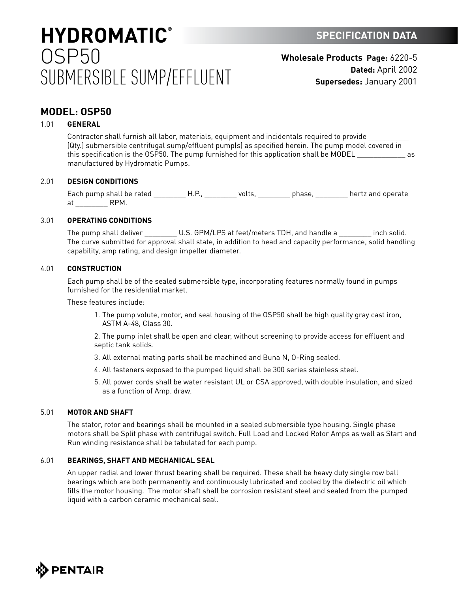# **HYDROMATIC SPECIFICATION DATA ®** OSP50 SUBMERSIBLE SUMP/EFFLUENT

**Wholesale Products Page:** 6220-5 **Dated:** April 2002 **Supersedes:** January 2001

### **MODEL: OSP50**

#### 1.01 **GENERAL**

Contractor shall furnish all labor, materials, equipment and incidentals required to provide \_\_\_\_\_\_\_\_\_\_ (Qty.) submersible centrifugal sump/effluent pump(s) as specified herein. The pump model covered in this specification is the OSP50. The pump furnished for this application shall be MODEL as as manufactured by Hydromatic Pumps.

#### 2.01 **DESIGN CONDITIONS**

Each pump shall be rated \_\_\_\_\_\_\_\_\_\_H.P., \_\_\_\_\_\_\_\_\_ volts, \_\_\_\_\_\_\_\_\_\_ phase, \_\_\_\_\_\_\_\_\_ hertz and operate at RPM.

### 3.01 **OPERATING CONDITIONS**

The pump shall deliver \_\_\_\_\_\_\_\_\_\_ U.S. GPM/LPS at feet/meters TDH, and handle a \_\_\_\_\_\_\_\_\_ inch solid. The curve submitted for approval shall state, in addition to head and capacity performance, solid handling capability, amp rating, and design impeller diameter.

#### 4.01 **CONSTRUCTION**

Each pump shall be of the sealed submersible type, incorporating features normally found in pumps furnished for the residential market.

These features include:

1. The pump volute, motor, and seal housing of the OSP50 shall be high quality gray cast iron, ASTM A-48, Class 30.

2. The pump inlet shall be open and clear, without screening to provide access for effluent and septic tank solids.

- 3. All external mating parts shall be machined and Buna N, O-Ring sealed.
- 4. All fasteners exposed to the pumped liquid shall be 300 series stainless steel.
- 5. All power cords shall be water resistant UL or CSA approved, with double insulation, and sized as a function of Amp. draw.

#### 5.01 **MOTOR AND SHAFT**

The stator, rotor and bearings shall be mounted in a sealed submersible type housing. Single phase motors shall be Split phase with centrifugal switch. Full Load and Locked Rotor Amps as well as Start and Run winding resistance shall be tabulated for each pump.

#### 6.01 **BEARINGS, SHAFT AND MECHANICAL SEAL**

An upper radial and lower thrust bearing shall be required. These shall be heavy duty single row ball bearings which are both permanently and continuously lubricated and cooled by the dielectric oil which fills the motor housing. The motor shaft shall be corrosion resistant steel and sealed from the pumped liquid with a carbon ceramic mechanical seal.